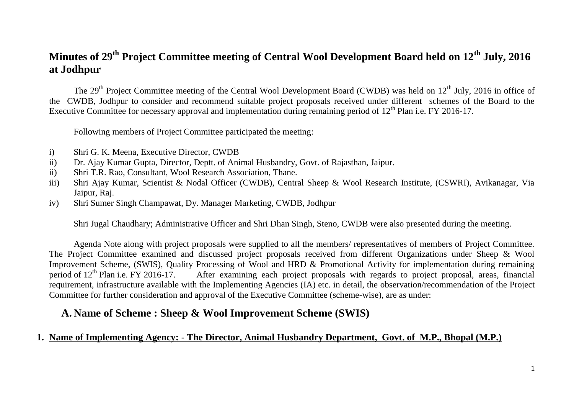## **Minutes of 29th Project Committee meeting of Central Wool Development Board held on 12th July, 2016 at Jodhpur**

The  $29<sup>th</sup>$  Project Committee meeting of the Central Wool Development Board (CWDB) was held on  $12<sup>th</sup>$  July, 2016 in office of the CWDB, Jodhpur to consider and recommend suitable project proposals received under different schemes of the Board to the Executive Committee for necessary approval and implementation during remaining period of 12<sup>th</sup> Plan i.e. FY 2016-17.

Following members of Project Committee participated the meeting:

- i) Shri G. K. Meena, Executive Director, CWDB
- ii) Dr. Ajay Kumar Gupta, Director, Deptt. of Animal Husbandry, Govt. of Rajasthan, Jaipur.
- ii) Shri T.R. Rao, Consultant, Wool Research Association, Thane.
- iii) Shri Ajay Kumar, Scientist & Nodal Officer (CWDB), Central Sheep & Wool Research Institute, (CSWRI), Avikanagar, Via Jaipur, Raj.
- iv) Shri Sumer Singh Champawat, Dy. Manager Marketing, CWDB, Jodhpur

Shri Jugal Chaudhary; Administrative Officer and Shri Dhan Singh, Steno, CWDB were also presented during the meeting.

Agenda Note along with project proposals were supplied to all the members/ representatives of members of Project Committee. The Project Committee examined and discussed project proposals received from different Organizations under Sheep & Wool Improvement Scheme, (SWIS), Quality Processing of Wool and HRD & Promotional Activity for implementation during remaining period of 12<sup>th</sup> Plan i.e. FY 2016-17. After examining each project proposals with regards to projec After examining each project proposals with regards to project proposal, areas, financial requirement, infrastructure available with the Implementing Agencies (IA) etc. in detail, the observation/recommendation of the Project Committee for further consideration and approval of the Executive Committee (scheme-wise), are as under:

## **A. Name of Scheme : Sheep & Wool Improvement Scheme (SWIS)**

#### **1. Name of Implementing Agency: - The Director, Animal Husbandry Department, Govt. of M.P., Bhopal (M.P.)**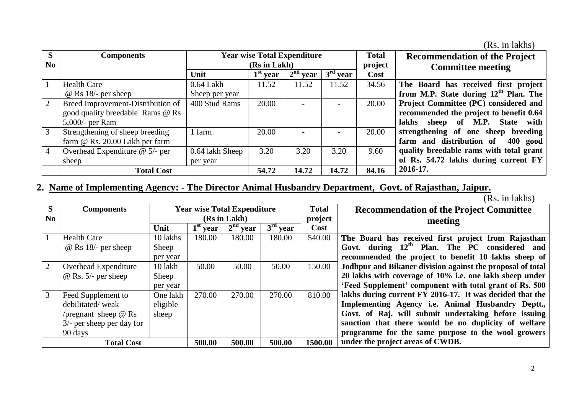| (Rs. in lakhs) |  |  |
|----------------|--|--|
|                |  |  |

| S              | <b>Components</b>                 |                 | <b>Year wise Total Expenditure</b> |            |            | <b>Total</b> | <b>Recommendation of the Project</b>              |
|----------------|-----------------------------------|-----------------|------------------------------------|------------|------------|--------------|---------------------------------------------------|
| No             |                                   |                 | (Rs in Lakh)                       |            |            |              | <b>Committee meeting</b>                          |
|                |                                   | Unit            | $1st$ year                         | $2nd$ year | $3rd$ year | Cost         |                                                   |
|                | <b>Health Care</b>                | $0.64$ Lakh     | 11.52                              | 11.52      | 11.52      | 34.56        | The Board has received first project              |
|                | $@$ Rs 18/- per sheep             | Sheep per year  |                                    |            |            |              | from M.P. State during 12 <sup>th</sup> Plan. The |
| $\overline{2}$ | Breed Improvement-Distribution of | 400 Stud Rams   | 20.00                              |            |            | 20.00        | Project Committee (PC) considered and             |
|                | good quality breedable Rams @ Rs  |                 |                                    |            |            |              | recommended the project to benefit 0.64           |
|                | 5,000/- per Ram                   |                 |                                    |            |            |              | lakhs sheep of M.P. State with                    |
| 3              | Strengthening of sheep breeding   | farm            | 20.00                              |            |            | 20.00        | strengthening of one sheep breeding               |
|                | farm $@$ Rs. 20.00 Lakh per farm  |                 |                                    |            |            |              | farm and distribution of<br>400 good              |
|                | Overhead Expenditure $@$ 5/- per  | 0.64 lakh Sheep | 3.20                               | 3.20       | 3.20       | 9.60         | quality breedable rams with total grant           |
|                | sheep                             | per year        |                                    |            |            |              | of Rs. 54.72 lakhs during current FY              |
|                | <b>Total Cost</b>                 |                 |                                    | 14.72      | 14.72      | 84.16        | 2016-17.                                          |

## **2. Name of Implementing Agency: - The Director Animal Husbandry Department, Govt. of Rajasthan, Jaipur.**

| S              | <b>Components</b>            | <b>Year wise Total Expenditure</b> |            |            |                                 | <b>Total</b> | <b>Recommendation of the Project Committee</b>             |
|----------------|------------------------------|------------------------------------|------------|------------|---------------------------------|--------------|------------------------------------------------------------|
| N <sub>0</sub> |                              | (Rs in Lakh)                       |            |            | project                         | meeting      |                                                            |
|                |                              | Unit                               | $1st$ year | $2nd$ year | $\overline{3}^{\text{rd}}$ year | Cost         |                                                            |
|                | <b>Health Care</b>           | 10 lakhs                           | 180.00     | 180.00     | 180.00                          | 540.00       | The Board has received first project from Rajasthan        |
|                | $\omega$ Rs 18/- per sheep   | Sheep                              |            |            |                                 |              | Govt. during $12th$ Plan. The PC considered and            |
|                |                              | per year                           |            |            |                                 |              | recommended the project to benefit 10 lakhs sheep of       |
| 2              | Overhead Expenditure         | 10 lakh                            | 50.00      | 50.00      | 50.00                           | 150.00       | Jodhpur and Bikaner division against the proposal of total |
|                | $\omega$ Rs. 5/- per sheep   | Sheep                              |            |            |                                 |              | 20 lakhs with coverage of 10% i.e. one lakh sheep under    |
|                |                              | per year                           |            |            |                                 |              | 'Feed Supplement' component with total grant of Rs. 500    |
| 3              | Feed Supplement to           | One lakh                           | 270.00     | 270.00     | 270.00                          | 810.00       | lakhs during current FY 2016-17. It was decided that the   |
|                | debilitated/weak             | eligible                           |            |            |                                 |              | Implementing Agency i.e. Animal Husbandry Deptt.,          |
|                | /pregnant sheep $\omega$ Rs  | sheep                              |            |            |                                 |              | Govt. of Raj. will submit undertaking before issuing       |
|                | $3/$ - per sheep per day for |                                    |            |            |                                 |              | sanction that there would be no duplicity of welfare       |
|                | 90 days                      |                                    |            |            |                                 |              | programme for the same purpose to the wool growers         |
|                | <b>Total Cost</b>            |                                    | 500.00     | 500.00     | 500.00                          | 1500.00      | under the project areas of CWDB.                           |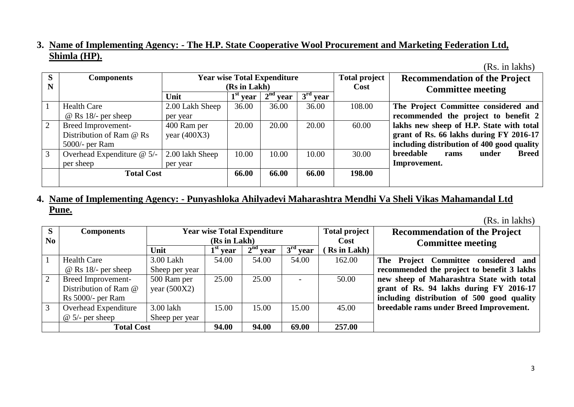#### **3. Name of Implementing Agency: - The H.P. State Cooperative Wool Procurement and Marketing Federation Ltd, Shimla (HP).**

(Rs. in lakhs)

| S | <b>Components</b>            |                 |              | <b>Year wise Total Expenditure</b> |            | <b>Total project</b> | <b>Recommendation of the Project</b>              |
|---|------------------------------|-----------------|--------------|------------------------------------|------------|----------------------|---------------------------------------------------|
| N |                              |                 | (Rs in Lakh) |                                    |            | Cost                 | <b>Committee meeting</b>                          |
|   |                              | Unit            | $1st$ year   | 2 <sup>nd</sup><br>year            | $3rd$ year |                      |                                                   |
|   | <b>Health Care</b>           | 2.00 Lakh Sheep | 36.00        | 36.00                              | 36.00      | 108.00               | The Project Committee considered and              |
|   | $@$ Rs 18/- per sheep        | per year        |              |                                    |            |                      | recommended the project to benefit 2              |
| 2 | Breed Improvement-           | 400 Ram per     | 20.00        | 20.00                              | 20.00      | 60.00                | lakhs new sheep of H.P. State with total          |
|   | Distribution of Ram @ Rs     | year $(400X3)$  |              |                                    |            |                      | grant of Rs. 66 lakhs during FY 2016-17           |
|   | $5000/-$ per Ram             |                 |              |                                    |            |                      | including distribution of 400 good quality        |
| 3 | Overhead Expenditure $@$ 5/- | 2.00 lakh Sheep | 10.00        | 10.00                              | 10.00      | 30.00                | <b>breedable</b><br><b>Breed</b><br>under<br>rams |
|   | per sheep                    | per year        |              |                                    |            |                      | Improvement.                                      |
|   | <b>Total Cost</b>            |                 |              | 66.00                              | 66.00      | 198.00               |                                                   |
|   |                              |                 |              |                                    |            |                      |                                                   |

### **4. Name of Implementing Agency: - Punyashloka Ahilyadevi Maharashtra Mendhi Va Sheli Vikas Mahamandal Ltd Pune.**

| S  | <b>Components</b>           |                |              | <b>Year wise Total Expenditure</b> |            | <b>Total project</b> | <b>Recommendation of the Project</b>       |
|----|-----------------------------|----------------|--------------|------------------------------------|------------|----------------------|--------------------------------------------|
| No |                             |                | (Rs in Lakh) |                                    |            | Cost                 | <b>Committee meeting</b>                   |
|    |                             | Unit           | $1st$ year   | $2nd$ year                         | $3rd$ year | Rs in Lakh)          |                                            |
|    | <b>Health Care</b>          | 3.00 Lakh      | 54.00        | 54.00                              | 54.00      | 162.00               | The Project Committee considered and       |
|    | $\omega$ Rs 18/- per sheep  | Sheep per year |              |                                    |            |                      | recommended the project to benefit 3 lakhs |
| 2  | Breed Improvement-          | 500 Ram per    | 25.00        | 25.00                              |            | 50.00                | new sheep of Maharashtra State with total  |
|    | Distribution of Ram @       | year $(500X2)$ |              |                                    |            |                      | grant of Rs. 94 lakhs during FY 2016-17    |
|    | $Rs$ 5000/- per Ram         |                |              |                                    |            |                      | including distribution of 500 good quality |
| 3  | <b>Overhead Expenditure</b> | 3.00 lakh      | 15.00        | 15.00                              | 15.00      | 45.00                | breedable rams under Breed Improvement.    |
|    | $\omega$ 5/- per sheep      | Sheep per year |              |                                    |            |                      |                                            |
|    | <b>Total Cost</b>           | 94.00          | 94.00        | 69.00                              | 257.00     |                      |                                            |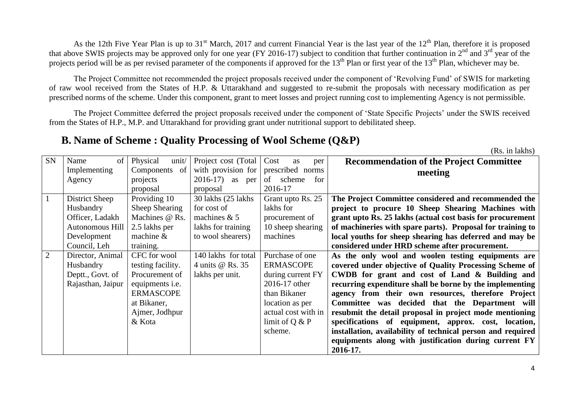As the 12th Five Year Plan is up to 31<sup>st</sup> March, 2017 and current Financial Year is the last year of the 12<sup>th</sup> Plan, therefore it is proposed that above SWIS projects may be approved only for one year (FY 2016-17) subject to condition that further continuation in  $2^{nd}$  and  $3^{rd}$  year of the projects period will be as per revised parameter of the components if approved for the 13<sup>th</sup> Plan or first year of the 13<sup>th</sup> Plan, whichever may be.

The Project Committee not recommended the project proposals received under the component of 'Revolving Fund' of SWIS for marketing of raw wool received from the States of H.P. & Uttarakhand and suggested to re-submit the proposals with necessary modification as per prescribed norms of the scheme. Under this component, grant to meet losses and project running cost to implementing Agency is not permissible.

The Project Committee deferred the project proposals received under the component of 'State Specific Projects' under the SWIS received from the States of H.P., M.P. and Uttarakhand for providing grant under nutritional support to debilitated sheep.

### **B. Name of Scheme : Quality Processing of Wool Scheme (Q&P)**

| <b>SN</b> | Name<br>of        | Physical<br>unit/      | Project cost (Total | Cost<br>as<br>per   | <b>Recommendation of the Project Committee</b>              |
|-----------|-------------------|------------------------|---------------------|---------------------|-------------------------------------------------------------|
|           | Implementing      | Components<br>of       | with provision for  | prescribed norms    | meeting                                                     |
|           | Agency            | projects               | $2016-17$ as per    | of scheme<br>for    |                                                             |
|           |                   | proposal               | proposal            | 2016-17             |                                                             |
|           | District Sheep    | Providing 10           | 30 lakhs (25 lakhs) | Grant upto Rs. 25   | The Project Committee considered and recommended the        |
|           | Husbandry         | Sheep Shearing         | for cost of         | lakhs for           | project to procure 10 Sheep Shearing Machines with          |
|           | Officer, Ladakh   | Machines @ Rs.         | machines $& 5$      | procurement of      | grant upto Rs. 25 lakhs (actual cost basis for procurement  |
|           | Autonomous Hill   | 2.5 lakhs per          | lakhs for training  | 10 sheep shearing   | of machineries with spare parts). Proposal for training to  |
|           | Development       | machine $\&$           | to wool shearers)   | machines            | local youths for sheep shearing has deferred and may be     |
|           | Council, Leh      | training.              |                     |                     | considered under HRD scheme after procurement.              |
| 2         | Director, Animal  | CFC for wool           | 140 lakhs for total | Purchase of one     | As the only wool and woolen testing equipments are          |
|           | Husbandry         | testing facility.      | 4 units @ Rs. 35    | <b>ERMASCOPE</b>    | covered under objective of Quality Processing Scheme of     |
|           | Deptt., Govt. of  | Procurement of         | lakhs per unit.     | during current FY   | CWDB for grant and cost of Land & Building and              |
|           | Rajasthan, Jaipur | equipments <i>i.e.</i> |                     | 2016-17 other       | recurring expenditure shall be borne by the implementing    |
|           |                   | <b>ERMASCOPE</b>       |                     | than Bikaner        | agency from their own resources, therefore Project          |
|           |                   | at Bikaner,            |                     | location as per     | Committee was decided that the Department will              |
|           |                   | Ajmer, Jodhpur         |                     | actual cost with in | resubmit the detail proposal in project mode mentioning     |
|           |                   | & Kota                 |                     | limit of $Q & P$    | specifications of equipment, approx. cost, location,        |
|           |                   |                        |                     | scheme.             | installation, availability of technical person and required |
|           |                   |                        |                     |                     | equipments along with justification during current FY       |
|           |                   |                        |                     |                     | 2016-17.                                                    |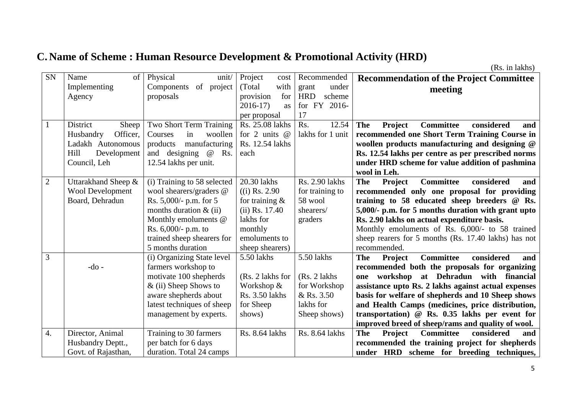# **C. Name of Scheme : Human Resource Development & Promotional Activity (HRD)**

| SN               | Name<br>$\sigma$        | Physical<br>unit/           | Project<br>cost   | Recommended          | <b>Recommendation of the Project Committee</b>                        |
|------------------|-------------------------|-----------------------------|-------------------|----------------------|-----------------------------------------------------------------------|
|                  | Implementing            | of project<br>Components    | with<br>(Total)   | under<br>grant       | meeting                                                               |
|                  | Agency                  | proposals                   | provision<br>for  | <b>HRD</b><br>scheme |                                                                       |
|                  |                         |                             | $2016-17$<br>as   | FY 2016-<br>for      |                                                                       |
|                  |                         |                             | per proposal      | 17                   |                                                                       |
| 1                | District<br>Sheep       | Two Short Term Training     | Rs. 25.08 lakhs   | 12.54<br>Rs.         | Project<br><b>Committee</b><br><b>The</b><br>considered<br>and        |
|                  | Officer,<br>Husbandry   | woollen<br>Courses<br>in    | for 2 units $@$   | lakhs for 1 unit     | recommended one Short Term Training Course in                         |
|                  | Ladakh Autonomous       | manufacturing<br>products   | Rs. 12.54 lakhs   |                      | woollen products manufacturing and designing @                        |
|                  | Hill<br>Development     | and designing @<br>Rs.      | each              |                      | Rs. 12.54 lakhs per centre as per prescribed norms                    |
|                  | Council, Leh            | 12.54 lakhs per unit.       |                   |                      | under HRD scheme for value addition of pashmina                       |
|                  |                         |                             |                   |                      | wool in Leh.                                                          |
| $\overline{2}$   | Uttarakhand Sheep &     | (i) Training to 58 selected | 20.30 lakhs       | Rs. 2.90 lakhs       | <b>The</b><br><b>Committee</b><br>considered<br>Project<br>and        |
|                  | <b>Wool Development</b> | wool shearers/graders @     | $(i)$ Rs. 2.90    | for training to      | recommended only one proposal for providing                           |
|                  | Board, Dehradun         | Rs. 5,000/- p.m. for 5      | for training $\&$ | 58 wool              | training to 58 educated sheep breeders @ Rs.                          |
|                  |                         | months duration $\&$ (ii)   | $(ii)$ Rs. 17.40  | shearers/            | 5,000/- p.m. for 5 months duration with grant upto                    |
|                  |                         | Monthly emoluments @        | lakhs for         | graders              | Rs. 2.90 lakhs on actual expenditure basis.                           |
|                  |                         | Rs. $6,000/$ - p.m. to      | monthly           |                      | Monthly emoluments of Rs. 6,000/- to 58 trained                       |
|                  |                         | trained sheep shearers for  | emoluments to     |                      | sheep rearers for 5 months (Rs. 17.40 lakhs) has not                  |
|                  |                         | 5 months duration           | sheep shearers)   |                      | recommended.                                                          |
| 3                |                         | (i) Organizing State level  | 5.50 lakhs        | 5.50 lakhs           | <b>The</b><br><b>Committee</b><br>considered<br>Project<br>and        |
|                  | $-do$ -                 | farmers workshop to         |                   |                      | recommended both the proposals for organizing                         |
|                  |                         | motivate 100 shepherds      | (Rs. 2 lakhs for  | $(Rs. 2$ lakhs       | workshop at Dehradun with financial<br>one                            |
|                  |                         | $&$ (ii) Sheep Shows to     | Workshop &        | for Workshop         | assistance upto Rs. 2 lakhs against actual expenses                   |
|                  |                         | aware shepherds about       | Rs. 3.50 lakhs    | & Rs. 3.50           | basis for welfare of shepherds and 10 Sheep shows                     |
|                  |                         | latest techniques of sheep  | for Sheep         | lakhs for            | and Health Camps (medicines, price distribution,                      |
|                  |                         | management by experts.      | shows)            | Sheep shows)         | transportation) $@$ Rs. 0.35 lakhs per event for                      |
|                  |                         |                             |                   |                      | improved breed of sheep/rams and quality of wool.                     |
| $\overline{4}$ . | Director, Animal        | Training to 30 farmers      | Rs. 8.64 lakhs    | Rs. 8.64 lakhs       | <b>Committee</b><br>considered<br><b>The</b><br><b>Project</b><br>and |
|                  | Husbandry Deptt.,       | per batch for 6 days        |                   |                      | recommended the training project for shepherds                        |
|                  | Govt. of Rajasthan,     | duration. Total 24 camps    |                   |                      | under HRD scheme for breeding techniques,                             |